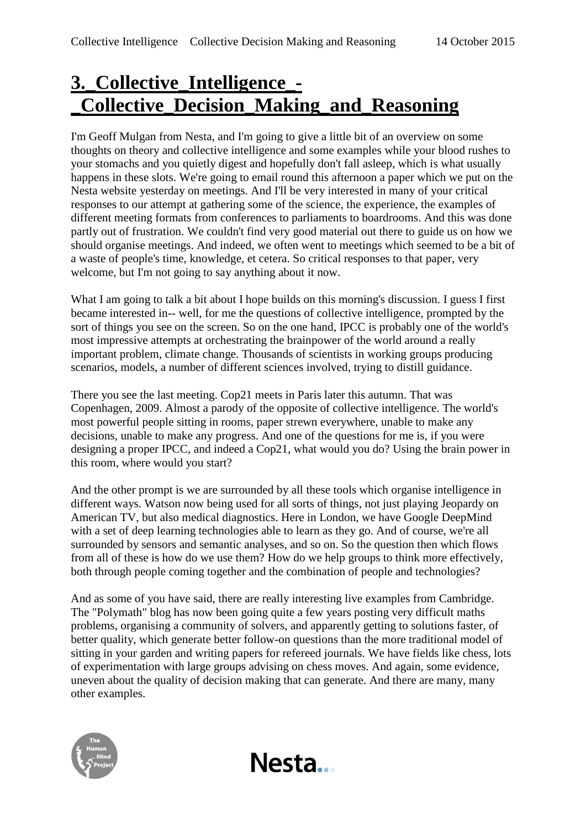# **3.\_Collective\_Intelligence\_- \_Collective\_Decision\_Making\_and\_Reasoning**

I'm Geoff Mulgan from Nesta, and I'm going to give a little bit of an overview on some thoughts on theory and collective intelligence and some examples while your blood rushes to your stomachs and you quietly digest and hopefully don't fall asleep, which is what usually happens in these slots. We're going to email round this afternoon a paper which we put on the Nesta website yesterday on meetings. And I'll be very interested in many of your critical responses to our attempt at gathering some of the science, the experience, the examples of different meeting formats from conferences to parliaments to boardrooms. And this was done partly out of frustration. We couldn't find very good material out there to guide us on how we should organise meetings. And indeed, we often went to meetings which seemed to be a bit of a waste of people's time, knowledge, et cetera. So critical responses to that paper, very welcome, but I'm not going to say anything about it now.

What I am going to talk a bit about I hope builds on this morning's discussion. I guess I first became interested in-- well, for me the questions of collective intelligence, prompted by the sort of things you see on the screen. So on the one hand, IPCC is probably one of the world's most impressive attempts at orchestrating the brainpower of the world around a really important problem, climate change. Thousands of scientists in working groups producing scenarios, models, a number of different sciences involved, trying to distill guidance.

There you see the last meeting. Cop21 meets in Paris later this autumn. That was Copenhagen, 2009. Almost a parody of the opposite of collective intelligence. The world's most powerful people sitting in rooms, paper strewn everywhere, unable to make any decisions, unable to make any progress. And one of the questions for me is, if you were designing a proper IPCC, and indeed a Cop21, what would you do? Using the brain power in this room, where would you start?

And the other prompt is we are surrounded by all these tools which organise intelligence in different ways. Watson now being used for all sorts of things, not just playing Jeopardy on American TV, but also medical diagnostics. Here in London, we have Google DeepMind with a set of deep learning technologies able to learn as they go. And of course, we're all surrounded by sensors and semantic analyses, and so on. So the question then which flows from all of these is how do we use them? How do we help groups to think more effectively, both through people coming together and the combination of people and technologies?

And as some of you have said, there are really interesting live examples from Cambridge. The "Polymath" blog has now been going quite a few years posting very difficult maths problems, organising a community of solvers, and apparently getting to solutions faster, of better quality, which generate better follow-on questions than the more traditional model of sitting in your garden and writing papers for refereed journals. We have fields like chess, lots of experimentation with large groups advising on chess moves. And again, some evidence, uneven about the quality of decision making that can generate. And there are many, many other examples.

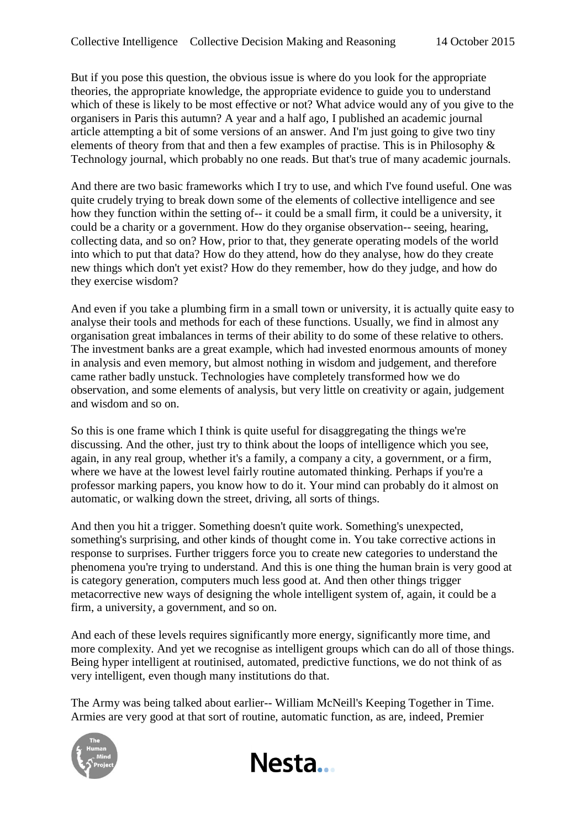But if you pose this question, the obvious issue is where do you look for the appropriate theories, the appropriate knowledge, the appropriate evidence to guide you to understand which of these is likely to be most effective or not? What advice would any of you give to the organisers in Paris this autumn? A year and a half ago, I published an academic journal article attempting a bit of some versions of an answer. And I'm just going to give two tiny elements of theory from that and then a few examples of practise. This is in Philosophy & Technology journal, which probably no one reads. But that's true of many academic journals.

And there are two basic frameworks which I try to use, and which I've found useful. One was quite crudely trying to break down some of the elements of collective intelligence and see how they function within the setting of-- it could be a small firm, it could be a university, it could be a charity or a government. How do they organise observation-- seeing, hearing, collecting data, and so on? How, prior to that, they generate operating models of the world into which to put that data? How do they attend, how do they analyse, how do they create new things which don't yet exist? How do they remember, how do they judge, and how do they exercise wisdom?

And even if you take a plumbing firm in a small town or university, it is actually quite easy to analyse their tools and methods for each of these functions. Usually, we find in almost any organisation great imbalances in terms of their ability to do some of these relative to others. The investment banks are a great example, which had invested enormous amounts of money in analysis and even memory, but almost nothing in wisdom and judgement, and therefore came rather badly unstuck. Technologies have completely transformed how we do observation, and some elements of analysis, but very little on creativity or again, judgement and wisdom and so on.

So this is one frame which I think is quite useful for disaggregating the things we're discussing. And the other, just try to think about the loops of intelligence which you see, again, in any real group, whether it's a family, a company a city, a government, or a firm, where we have at the lowest level fairly routine automated thinking. Perhaps if you're a professor marking papers, you know how to do it. Your mind can probably do it almost on automatic, or walking down the street, driving, all sorts of things.

And then you hit a trigger. Something doesn't quite work. Something's unexpected, something's surprising, and other kinds of thought come in. You take corrective actions in response to surprises. Further triggers force you to create new categories to understand the phenomena you're trying to understand. And this is one thing the human brain is very good at is category generation, computers much less good at. And then other things trigger metacorrective new ways of designing the whole intelligent system of, again, it could be a firm, a university, a government, and so on.

And each of these levels requires significantly more energy, significantly more time, and more complexity. And yet we recognise as intelligent groups which can do all of those things. Being hyper intelligent at routinised, automated, predictive functions, we do not think of as very intelligent, even though many institutions do that.

The Army was being talked about earlier-- William McNeill's Keeping Together in Time. Armies are very good at that sort of routine, automatic function, as are, indeed, Premier

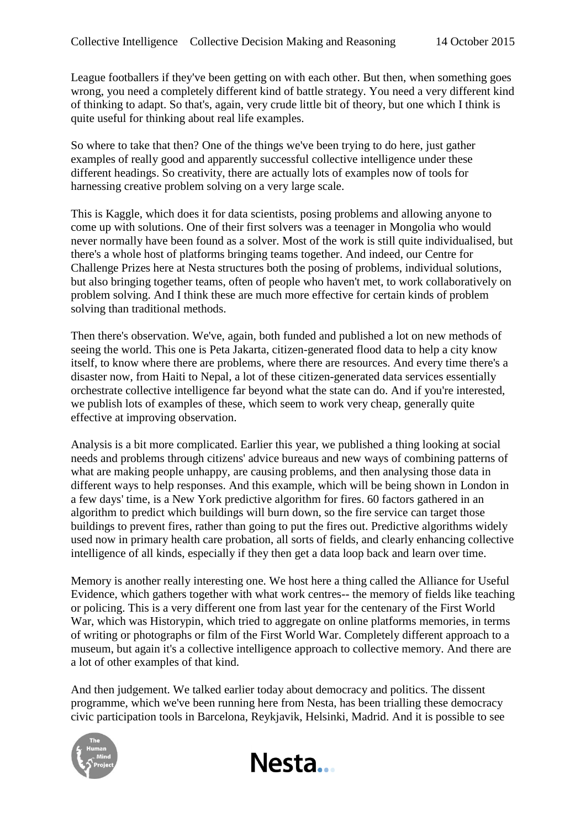League footballers if they've been getting on with each other. But then, when something goes wrong, you need a completely different kind of battle strategy. You need a very different kind of thinking to adapt. So that's, again, very crude little bit of theory, but one which I think is quite useful for thinking about real life examples.

So where to take that then? One of the things we've been trying to do here, just gather examples of really good and apparently successful collective intelligence under these different headings. So creativity, there are actually lots of examples now of tools for harnessing creative problem solving on a very large scale.

This is Kaggle, which does it for data scientists, posing problems and allowing anyone to come up with solutions. One of their first solvers was a teenager in Mongolia who would never normally have been found as a solver. Most of the work is still quite individualised, but there's a whole host of platforms bringing teams together. And indeed, our Centre for Challenge Prizes here at Nesta structures both the posing of problems, individual solutions, but also bringing together teams, often of people who haven't met, to work collaboratively on problem solving. And I think these are much more effective for certain kinds of problem solving than traditional methods.

Then there's observation. We've, again, both funded and published a lot on new methods of seeing the world. This one is Peta Jakarta, citizen-generated flood data to help a city know itself, to know where there are problems, where there are resources. And every time there's a disaster now, from Haiti to Nepal, a lot of these citizen-generated data services essentially orchestrate collective intelligence far beyond what the state can do. And if you're interested, we publish lots of examples of these, which seem to work very cheap, generally quite effective at improving observation.

Analysis is a bit more complicated. Earlier this year, we published a thing looking at social needs and problems through citizens' advice bureaus and new ways of combining patterns of what are making people unhappy, are causing problems, and then analysing those data in different ways to help responses. And this example, which will be being shown in London in a few days' time, is a New York predictive algorithm for fires. 60 factors gathered in an algorithm to predict which buildings will burn down, so the fire service can target those buildings to prevent fires, rather than going to put the fires out. Predictive algorithms widely used now in primary health care probation, all sorts of fields, and clearly enhancing collective intelligence of all kinds, especially if they then get a data loop back and learn over time.

Memory is another really interesting one. We host here a thing called the Alliance for Useful Evidence, which gathers together with what work centres-- the memory of fields like teaching or policing. This is a very different one from last year for the centenary of the First World War, which was Historypin, which tried to aggregate on online platforms memories, in terms of writing or photographs or film of the First World War. Completely different approach to a museum, but again it's a collective intelligence approach to collective memory. And there are a lot of other examples of that kind.

And then judgement. We talked earlier today about democracy and politics. The dissent programme, which we've been running here from Nesta, has been trialling these democracy civic participation tools in Barcelona, Reykjavik, Helsinki, Madrid. And it is possible to see

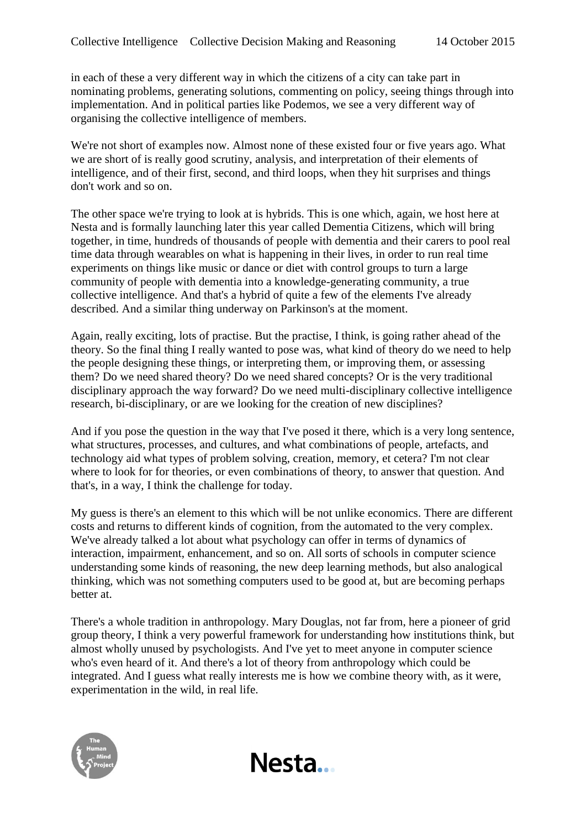in each of these a very different way in which the citizens of a city can take part in nominating problems, generating solutions, commenting on policy, seeing things through into implementation. And in political parties like Podemos, we see a very different way of organising the collective intelligence of members.

We're not short of examples now. Almost none of these existed four or five years ago. What we are short of is really good scrutiny, analysis, and interpretation of their elements of intelligence, and of their first, second, and third loops, when they hit surprises and things don't work and so on.

The other space we're trying to look at is hybrids. This is one which, again, we host here at Nesta and is formally launching later this year called Dementia Citizens, which will bring together, in time, hundreds of thousands of people with dementia and their carers to pool real time data through wearables on what is happening in their lives, in order to run real time experiments on things like music or dance or diet with control groups to turn a large community of people with dementia into a knowledge-generating community, a true collective intelligence. And that's a hybrid of quite a few of the elements I've already described. And a similar thing underway on Parkinson's at the moment.

Again, really exciting, lots of practise. But the practise, I think, is going rather ahead of the theory. So the final thing I really wanted to pose was, what kind of theory do we need to help the people designing these things, or interpreting them, or improving them, or assessing them? Do we need shared theory? Do we need shared concepts? Or is the very traditional disciplinary approach the way forward? Do we need multi-disciplinary collective intelligence research, bi-disciplinary, or are we looking for the creation of new disciplines?

And if you pose the question in the way that I've posed it there, which is a very long sentence, what structures, processes, and cultures, and what combinations of people, artefacts, and technology aid what types of problem solving, creation, memory, et cetera? I'm not clear where to look for for theories, or even combinations of theory, to answer that question. And that's, in a way, I think the challenge for today.

My guess is there's an element to this which will be not unlike economics. There are different costs and returns to different kinds of cognition, from the automated to the very complex. We've already talked a lot about what psychology can offer in terms of dynamics of interaction, impairment, enhancement, and so on. All sorts of schools in computer science understanding some kinds of reasoning, the new deep learning methods, but also analogical thinking, which was not something computers used to be good at, but are becoming perhaps better at.

There's a whole tradition in anthropology. Mary Douglas, not far from, here a pioneer of grid group theory, I think a very powerful framework for understanding how institutions think, but almost wholly unused by psychologists. And I've yet to meet anyone in computer science who's even heard of it. And there's a lot of theory from anthropology which could be integrated. And I guess what really interests me is how we combine theory with, as it were, experimentation in the wild, in real life.

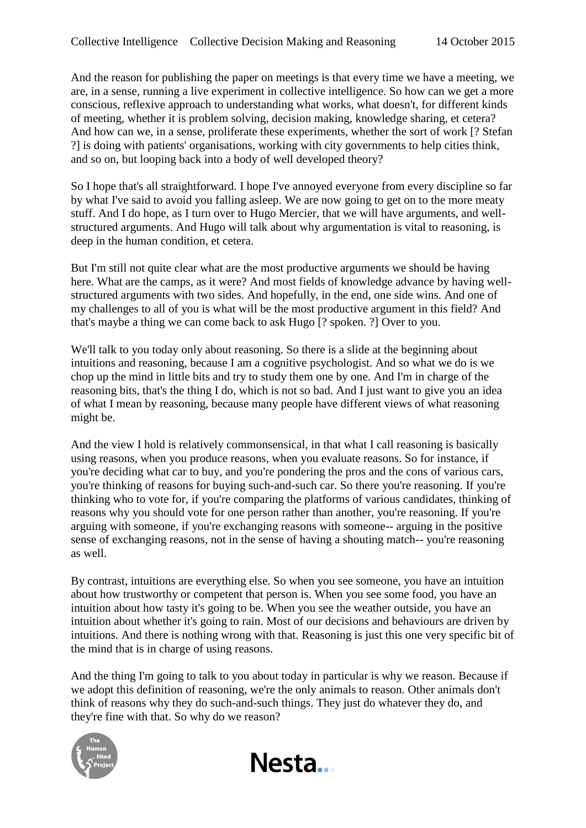And the reason for publishing the paper on meetings is that every time we have a meeting, we are, in a sense, running a live experiment in collective intelligence. So how can we get a more conscious, reflexive approach to understanding what works, what doesn't, for different kinds of meeting, whether it is problem solving, decision making, knowledge sharing, et cetera? And how can we, in a sense, proliferate these experiments, whether the sort of work [? Stefan ?] is doing with patients' organisations, working with city governments to help cities think, and so on, but looping back into a body of well developed theory?

So I hope that's all straightforward. I hope I've annoyed everyone from every discipline so far by what I've said to avoid you falling asleep. We are now going to get on to the more meaty stuff. And I do hope, as I turn over to Hugo Mercier, that we will have arguments, and wellstructured arguments. And Hugo will talk about why argumentation is vital to reasoning, is deep in the human condition, et cetera.

But I'm still not quite clear what are the most productive arguments we should be having here. What are the camps, as it were? And most fields of knowledge advance by having wellstructured arguments with two sides. And hopefully, in the end, one side wins. And one of my challenges to all of you is what will be the most productive argument in this field? And that's maybe a thing we can come back to ask Hugo [? spoken. ?] Over to you.

We'll talk to you today only about reasoning. So there is a slide at the beginning about intuitions and reasoning, because I am a cognitive psychologist. And so what we do is we chop up the mind in little bits and try to study them one by one. And I'm in charge of the reasoning bits, that's the thing I do, which is not so bad. And I just want to give you an idea of what I mean by reasoning, because many people have different views of what reasoning might be.

And the view I hold is relatively commonsensical, in that what I call reasoning is basically using reasons, when you produce reasons, when you evaluate reasons. So for instance, if you're deciding what car to buy, and you're pondering the pros and the cons of various cars, you're thinking of reasons for buying such-and-such car. So there you're reasoning. If you're thinking who to vote for, if you're comparing the platforms of various candidates, thinking of reasons why you should vote for one person rather than another, you're reasoning. If you're arguing with someone, if you're exchanging reasons with someone-- arguing in the positive sense of exchanging reasons, not in the sense of having a shouting match-- you're reasoning as well.

By contrast, intuitions are everything else. So when you see someone, you have an intuition about how trustworthy or competent that person is. When you see some food, you have an intuition about how tasty it's going to be. When you see the weather outside, you have an intuition about whether it's going to rain. Most of our decisions and behaviours are driven by intuitions. And there is nothing wrong with that. Reasoning is just this one very specific bit of the mind that is in charge of using reasons.

And the thing I'm going to talk to you about today in particular is why we reason. Because if we adopt this definition of reasoning, we're the only animals to reason. Other animals don't think of reasons why they do such-and-such things. They just do whatever they do, and they're fine with that. So why do we reason?



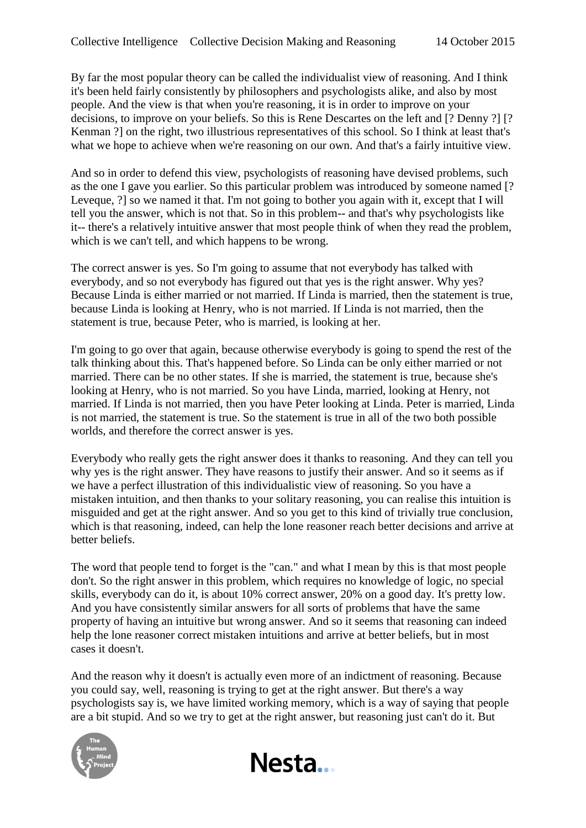By far the most popular theory can be called the individualist view of reasoning. And I think it's been held fairly consistently by philosophers and psychologists alike, and also by most people. And the view is that when you're reasoning, it is in order to improve on your decisions, to improve on your beliefs. So this is Rene Descartes on the left and [? Denny ?] [? Kenman ?] on the right, two illustrious representatives of this school. So I think at least that's what we hope to achieve when we're reasoning on our own. And that's a fairly intuitive view.

And so in order to defend this view, psychologists of reasoning have devised problems, such as the one I gave you earlier. So this particular problem was introduced by someone named [? Leveque, ?] so we named it that. I'm not going to bother you again with it, except that I will tell you the answer, which is not that. So in this problem-- and that's why psychologists like it-- there's a relatively intuitive answer that most people think of when they read the problem, which is we can't tell, and which happens to be wrong.

The correct answer is yes. So I'm going to assume that not everybody has talked with everybody, and so not everybody has figured out that yes is the right answer. Why yes? Because Linda is either married or not married. If Linda is married, then the statement is true, because Linda is looking at Henry, who is not married. If Linda is not married, then the statement is true, because Peter, who is married, is looking at her.

I'm going to go over that again, because otherwise everybody is going to spend the rest of the talk thinking about this. That's happened before. So Linda can be only either married or not married. There can be no other states. If she is married, the statement is true, because she's looking at Henry, who is not married. So you have Linda, married, looking at Henry, not married. If Linda is not married, then you have Peter looking at Linda. Peter is married, Linda is not married, the statement is true. So the statement is true in all of the two both possible worlds, and therefore the correct answer is yes.

Everybody who really gets the right answer does it thanks to reasoning. And they can tell you why yes is the right answer. They have reasons to justify their answer. And so it seems as if we have a perfect illustration of this individualistic view of reasoning. So you have a mistaken intuition, and then thanks to your solitary reasoning, you can realise this intuition is misguided and get at the right answer. And so you get to this kind of trivially true conclusion, which is that reasoning, indeed, can help the lone reasoner reach better decisions and arrive at better beliefs.

The word that people tend to forget is the "can." and what I mean by this is that most people don't. So the right answer in this problem, which requires no knowledge of logic, no special skills, everybody can do it, is about 10% correct answer, 20% on a good day. It's pretty low. And you have consistently similar answers for all sorts of problems that have the same property of having an intuitive but wrong answer. And so it seems that reasoning can indeed help the lone reasoner correct mistaken intuitions and arrive at better beliefs, but in most cases it doesn't.

And the reason why it doesn't is actually even more of an indictment of reasoning. Because you could say, well, reasoning is trying to get at the right answer. But there's a way psychologists say is, we have limited working memory, which is a way of saying that people are a bit stupid. And so we try to get at the right answer, but reasoning just can't do it. But

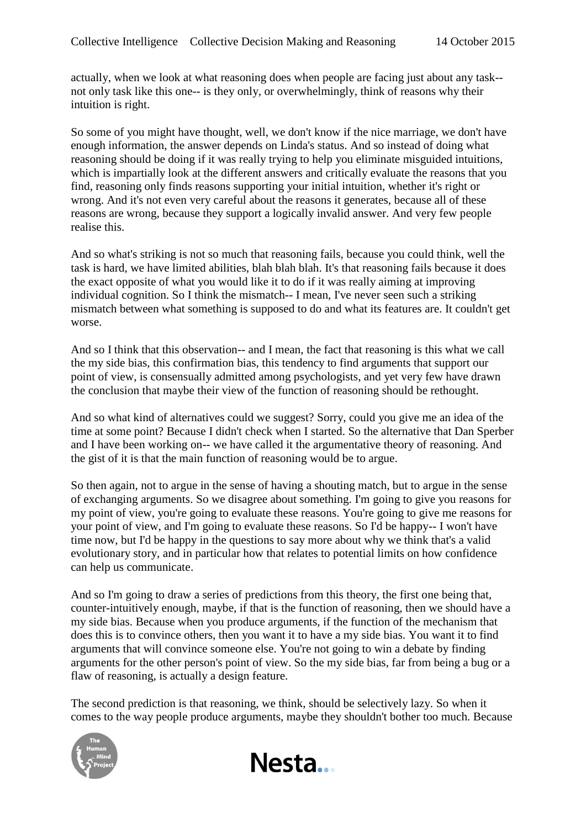actually, when we look at what reasoning does when people are facing just about any task- not only task like this one-- is they only, or overwhelmingly, think of reasons why their intuition is right.

So some of you might have thought, well, we don't know if the nice marriage, we don't have enough information, the answer depends on Linda's status. And so instead of doing what reasoning should be doing if it was really trying to help you eliminate misguided intuitions, which is impartially look at the different answers and critically evaluate the reasons that you find, reasoning only finds reasons supporting your initial intuition, whether it's right or wrong. And it's not even very careful about the reasons it generates, because all of these reasons are wrong, because they support a logically invalid answer. And very few people realise this.

And so what's striking is not so much that reasoning fails, because you could think, well the task is hard, we have limited abilities, blah blah blah. It's that reasoning fails because it does the exact opposite of what you would like it to do if it was really aiming at improving individual cognition. So I think the mismatch-- I mean, I've never seen such a striking mismatch between what something is supposed to do and what its features are. It couldn't get worse.

And so I think that this observation-- and I mean, the fact that reasoning is this what we call the my side bias, this confirmation bias, this tendency to find arguments that support our point of view, is consensually admitted among psychologists, and yet very few have drawn the conclusion that maybe their view of the function of reasoning should be rethought.

And so what kind of alternatives could we suggest? Sorry, could you give me an idea of the time at some point? Because I didn't check when I started. So the alternative that Dan Sperber and I have been working on-- we have called it the argumentative theory of reasoning. And the gist of it is that the main function of reasoning would be to argue.

So then again, not to argue in the sense of having a shouting match, but to argue in the sense of exchanging arguments. So we disagree about something. I'm going to give you reasons for my point of view, you're going to evaluate these reasons. You're going to give me reasons for your point of view, and I'm going to evaluate these reasons. So I'd be happy-- I won't have time now, but I'd be happy in the questions to say more about why we think that's a valid evolutionary story, and in particular how that relates to potential limits on how confidence can help us communicate.

And so I'm going to draw a series of predictions from this theory, the first one being that, counter-intuitively enough, maybe, if that is the function of reasoning, then we should have a my side bias. Because when you produce arguments, if the function of the mechanism that does this is to convince others, then you want it to have a my side bias. You want it to find arguments that will convince someone else. You're not going to win a debate by finding arguments for the other person's point of view. So the my side bias, far from being a bug or a flaw of reasoning, is actually a design feature.

The second prediction is that reasoning, we think, should be selectively lazy. So when it comes to the way people produce arguments, maybe they shouldn't bother too much. Because



Nesta...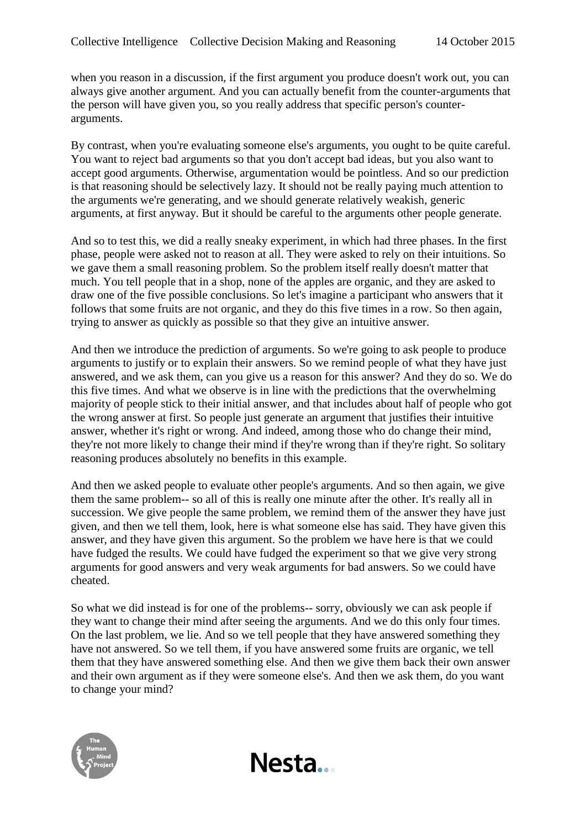when you reason in a discussion, if the first argument you produce doesn't work out, you can always give another argument. And you can actually benefit from the counter-arguments that the person will have given you, so you really address that specific person's counterarguments.

By contrast, when you're evaluating someone else's arguments, you ought to be quite careful. You want to reject bad arguments so that you don't accept bad ideas, but you also want to accept good arguments. Otherwise, argumentation would be pointless. And so our prediction is that reasoning should be selectively lazy. It should not be really paying much attention to the arguments we're generating, and we should generate relatively weakish, generic arguments, at first anyway. But it should be careful to the arguments other people generate.

And so to test this, we did a really sneaky experiment, in which had three phases. In the first phase, people were asked not to reason at all. They were asked to rely on their intuitions. So we gave them a small reasoning problem. So the problem itself really doesn't matter that much. You tell people that in a shop, none of the apples are organic, and they are asked to draw one of the five possible conclusions. So let's imagine a participant who answers that it follows that some fruits are not organic, and they do this five times in a row. So then again, trying to answer as quickly as possible so that they give an intuitive answer.

And then we introduce the prediction of arguments. So we're going to ask people to produce arguments to justify or to explain their answers. So we remind people of what they have just answered, and we ask them, can you give us a reason for this answer? And they do so. We do this five times. And what we observe is in line with the predictions that the overwhelming majority of people stick to their initial answer, and that includes about half of people who got the wrong answer at first. So people just generate an argument that justifies their intuitive answer, whether it's right or wrong. And indeed, among those who do change their mind, they're not more likely to change their mind if they're wrong than if they're right. So solitary reasoning produces absolutely no benefits in this example.

And then we asked people to evaluate other people's arguments. And so then again, we give them the same problem-- so all of this is really one minute after the other. It's really all in succession. We give people the same problem, we remind them of the answer they have just given, and then we tell them, look, here is what someone else has said. They have given this answer, and they have given this argument. So the problem we have here is that we could have fudged the results. We could have fudged the experiment so that we give very strong arguments for good answers and very weak arguments for bad answers. So we could have cheated.

So what we did instead is for one of the problems-- sorry, obviously we can ask people if they want to change their mind after seeing the arguments. And we do this only four times. On the last problem, we lie. And so we tell people that they have answered something they have not answered. So we tell them, if you have answered some fruits are organic, we tell them that they have answered something else. And then we give them back their own answer and their own argument as if they were someone else's. And then we ask them, do you want to change your mind?

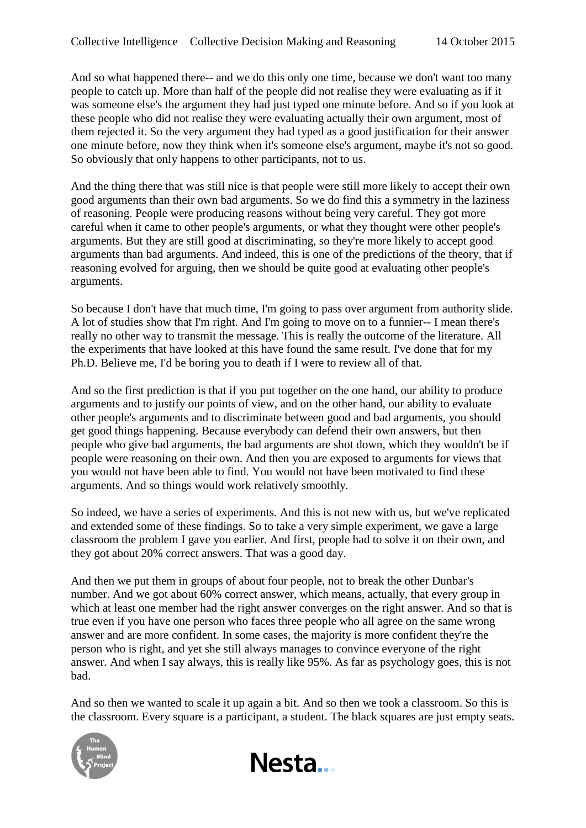And so what happened there-- and we do this only one time, because we don't want too many people to catch up. More than half of the people did not realise they were evaluating as if it was someone else's the argument they had just typed one minute before. And so if you look at these people who did not realise they were evaluating actually their own argument, most of them rejected it. So the very argument they had typed as a good justification for their answer one minute before, now they think when it's someone else's argument, maybe it's not so good. So obviously that only happens to other participants, not to us.

And the thing there that was still nice is that people were still more likely to accept their own good arguments than their own bad arguments. So we do find this a symmetry in the laziness of reasoning. People were producing reasons without being very careful. They got more careful when it came to other people's arguments, or what they thought were other people's arguments. But they are still good at discriminating, so they're more likely to accept good arguments than bad arguments. And indeed, this is one of the predictions of the theory, that if reasoning evolved for arguing, then we should be quite good at evaluating other people's arguments.

So because I don't have that much time, I'm going to pass over argument from authority slide. A lot of studies show that I'm right. And I'm going to move on to a funnier-- I mean there's really no other way to transmit the message. This is really the outcome of the literature. All the experiments that have looked at this have found the same result. I've done that for my Ph.D. Believe me, I'd be boring you to death if I were to review all of that.

And so the first prediction is that if you put together on the one hand, our ability to produce arguments and to justify our points of view, and on the other hand, our ability to evaluate other people's arguments and to discriminate between good and bad arguments, you should get good things happening. Because everybody can defend their own answers, but then people who give bad arguments, the bad arguments are shot down, which they wouldn't be if people were reasoning on their own. And then you are exposed to arguments for views that you would not have been able to find. You would not have been motivated to find these arguments. And so things would work relatively smoothly.

So indeed, we have a series of experiments. And this is not new with us, but we've replicated and extended some of these findings. So to take a very simple experiment, we gave a large classroom the problem I gave you earlier. And first, people had to solve it on their own, and they got about 20% correct answers. That was a good day.

And then we put them in groups of about four people, not to break the other Dunbar's number. And we got about 60% correct answer, which means, actually, that every group in which at least one member had the right answer converges on the right answer. And so that is true even if you have one person who faces three people who all agree on the same wrong answer and are more confident. In some cases, the majority is more confident they're the person who is right, and yet she still always manages to convince everyone of the right answer. And when I say always, this is really like 95%. As far as psychology goes, this is not bad.

And so then we wanted to scale it up again a bit. And so then we took a classroom. So this is the classroom. Every square is a participant, a student. The black squares are just empty seats.

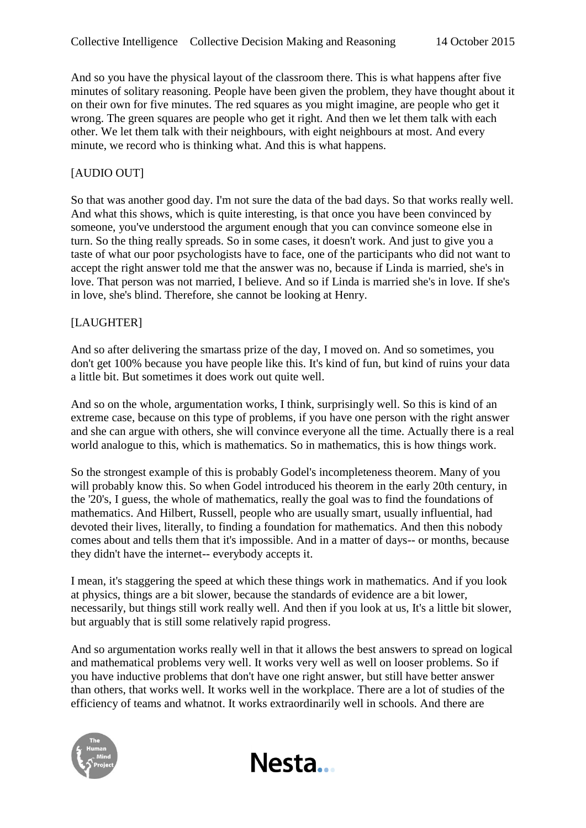And so you have the physical layout of the classroom there. This is what happens after five minutes of solitary reasoning. People have been given the problem, they have thought about it on their own for five minutes. The red squares as you might imagine, are people who get it wrong. The green squares are people who get it right. And then we let them talk with each other. We let them talk with their neighbours, with eight neighbours at most. And every minute, we record who is thinking what. And this is what happens.

## [AUDIO OUT]

So that was another good day. I'm not sure the data of the bad days. So that works really well. And what this shows, which is quite interesting, is that once you have been convinced by someone, you've understood the argument enough that you can convince someone else in turn. So the thing really spreads. So in some cases, it doesn't work. And just to give you a taste of what our poor psychologists have to face, one of the participants who did not want to accept the right answer told me that the answer was no, because if Linda is married, she's in love. That person was not married, I believe. And so if Linda is married she's in love. If she's in love, she's blind. Therefore, she cannot be looking at Henry.

## [LAUGHTER]

And so after delivering the smartass prize of the day, I moved on. And so sometimes, you don't get 100% because you have people like this. It's kind of fun, but kind of ruins your data a little bit. But sometimes it does work out quite well.

And so on the whole, argumentation works, I think, surprisingly well. So this is kind of an extreme case, because on this type of problems, if you have one person with the right answer and she can argue with others, she will convince everyone all the time. Actually there is a real world analogue to this, which is mathematics. So in mathematics, this is how things work.

So the strongest example of this is probably Godel's incompleteness theorem. Many of you will probably know this. So when Godel introduced his theorem in the early 20th century, in the '20's, I guess, the whole of mathematics, really the goal was to find the foundations of mathematics. And Hilbert, Russell, people who are usually smart, usually influential, had devoted their lives, literally, to finding a foundation for mathematics. And then this nobody comes about and tells them that it's impossible. And in a matter of days-- or months, because they didn't have the internet-- everybody accepts it.

I mean, it's staggering the speed at which these things work in mathematics. And if you look at physics, things are a bit slower, because the standards of evidence are a bit lower, necessarily, but things still work really well. And then if you look at us, It's a little bit slower, but arguably that is still some relatively rapid progress.

And so argumentation works really well in that it allows the best answers to spread on logical and mathematical problems very well. It works very well as well on looser problems. So if you have inductive problems that don't have one right answer, but still have better answer than others, that works well. It works well in the workplace. There are a lot of studies of the efficiency of teams and whatnot. It works extraordinarily well in schools. And there are

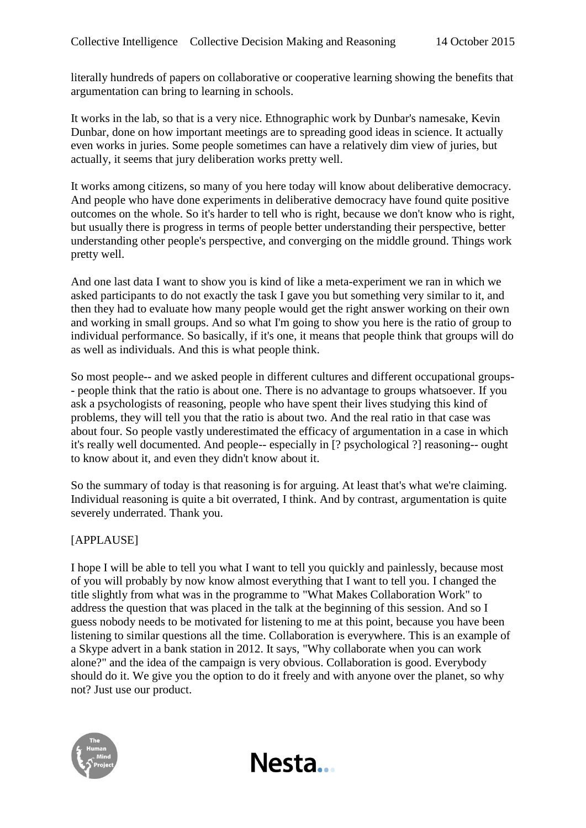literally hundreds of papers on collaborative or cooperative learning showing the benefits that argumentation can bring to learning in schools.

It works in the lab, so that is a very nice. Ethnographic work by Dunbar's namesake, Kevin Dunbar, done on how important meetings are to spreading good ideas in science. It actually even works in juries. Some people sometimes can have a relatively dim view of juries, but actually, it seems that jury deliberation works pretty well.

It works among citizens, so many of you here today will know about deliberative democracy. And people who have done experiments in deliberative democracy have found quite positive outcomes on the whole. So it's harder to tell who is right, because we don't know who is right, but usually there is progress in terms of people better understanding their perspective, better understanding other people's perspective, and converging on the middle ground. Things work pretty well.

And one last data I want to show you is kind of like a meta-experiment we ran in which we asked participants to do not exactly the task I gave you but something very similar to it, and then they had to evaluate how many people would get the right answer working on their own and working in small groups. And so what I'm going to show you here is the ratio of group to individual performance. So basically, if it's one, it means that people think that groups will do as well as individuals. And this is what people think.

So most people-- and we asked people in different cultures and different occupational groups- - people think that the ratio is about one. There is no advantage to groups whatsoever. If you ask a psychologists of reasoning, people who have spent their lives studying this kind of problems, they will tell you that the ratio is about two. And the real ratio in that case was about four. So people vastly underestimated the efficacy of argumentation in a case in which it's really well documented. And people-- especially in [? psychological ?] reasoning-- ought to know about it, and even they didn't know about it.

So the summary of today is that reasoning is for arguing. At least that's what we're claiming. Individual reasoning is quite a bit overrated, I think. And by contrast, argumentation is quite severely underrated. Thank you.

## [APPLAUSE]

I hope I will be able to tell you what I want to tell you quickly and painlessly, because most of you will probably by now know almost everything that I want to tell you. I changed the title slightly from what was in the programme to "What Makes Collaboration Work" to address the question that was placed in the talk at the beginning of this session. And so I guess nobody needs to be motivated for listening to me at this point, because you have been listening to similar questions all the time. Collaboration is everywhere. This is an example of a Skype advert in a bank station in 2012. It says, "Why collaborate when you can work alone?" and the idea of the campaign is very obvious. Collaboration is good. Everybody should do it. We give you the option to do it freely and with anyone over the planet, so why not? Just use our product.

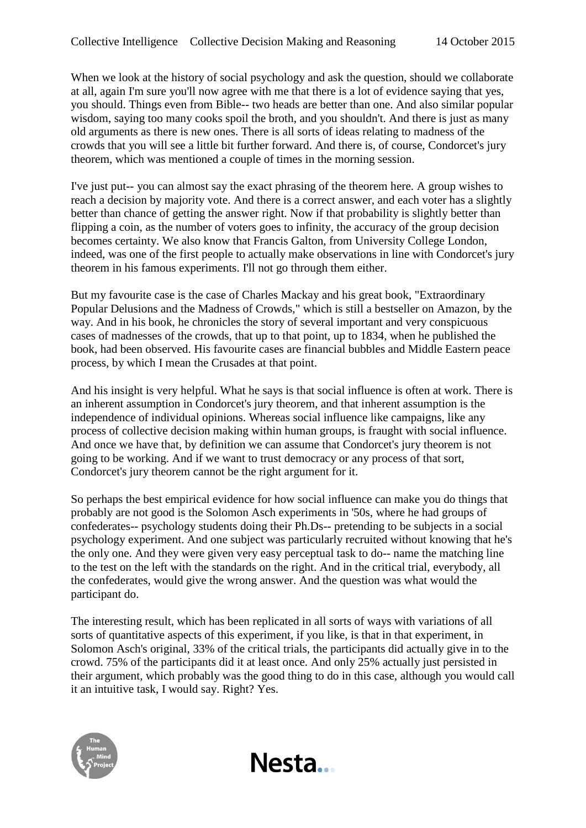When we look at the history of social psychology and ask the question, should we collaborate at all, again I'm sure you'll now agree with me that there is a lot of evidence saying that yes, you should. Things even from Bible-- two heads are better than one. And also similar popular wisdom, saying too many cooks spoil the broth, and you shouldn't. And there is just as many old arguments as there is new ones. There is all sorts of ideas relating to madness of the crowds that you will see a little bit further forward. And there is, of course, Condorcet's jury theorem, which was mentioned a couple of times in the morning session.

I've just put-- you can almost say the exact phrasing of the theorem here. A group wishes to reach a decision by majority vote. And there is a correct answer, and each voter has a slightly better than chance of getting the answer right. Now if that probability is slightly better than flipping a coin, as the number of voters goes to infinity, the accuracy of the group decision becomes certainty. We also know that Francis Galton, from University College London, indeed, was one of the first people to actually make observations in line with Condorcet's jury theorem in his famous experiments. I'll not go through them either.

But my favourite case is the case of Charles Mackay and his great book, "Extraordinary Popular Delusions and the Madness of Crowds," which is still a bestseller on Amazon, by the way. And in his book, he chronicles the story of several important and very conspicuous cases of madnesses of the crowds, that up to that point, up to 1834, when he published the book, had been observed. His favourite cases are financial bubbles and Middle Eastern peace process, by which I mean the Crusades at that point.

And his insight is very helpful. What he says is that social influence is often at work. There is an inherent assumption in Condorcet's jury theorem, and that inherent assumption is the independence of individual opinions. Whereas social influence like campaigns, like any process of collective decision making within human groups, is fraught with social influence. And once we have that, by definition we can assume that Condorcet's jury theorem is not going to be working. And if we want to trust democracy or any process of that sort, Condorcet's jury theorem cannot be the right argument for it.

So perhaps the best empirical evidence for how social influence can make you do things that probably are not good is the Solomon Asch experiments in '50s, where he had groups of confederates-- psychology students doing their Ph.Ds-- pretending to be subjects in a social psychology experiment. And one subject was particularly recruited without knowing that he's the only one. And they were given very easy perceptual task to do-- name the matching line to the test on the left with the standards on the right. And in the critical trial, everybody, all the confederates, would give the wrong answer. And the question was what would the participant do.

The interesting result, which has been replicated in all sorts of ways with variations of all sorts of quantitative aspects of this experiment, if you like, is that in that experiment, in Solomon Asch's original, 33% of the critical trials, the participants did actually give in to the crowd. 75% of the participants did it at least once. And only 25% actually just persisted in their argument, which probably was the good thing to do in this case, although you would call it an intuitive task, I would say. Right? Yes.

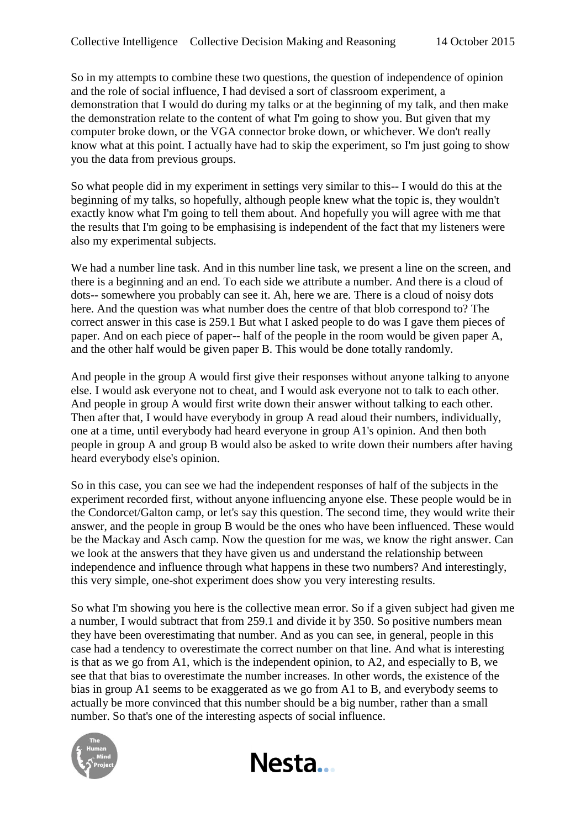So in my attempts to combine these two questions, the question of independence of opinion and the role of social influence, I had devised a sort of classroom experiment, a demonstration that I would do during my talks or at the beginning of my talk, and then make the demonstration relate to the content of what I'm going to show you. But given that my computer broke down, or the VGA connector broke down, or whichever. We don't really know what at this point. I actually have had to skip the experiment, so I'm just going to show you the data from previous groups.

So what people did in my experiment in settings very similar to this-- I would do this at the beginning of my talks, so hopefully, although people knew what the topic is, they wouldn't exactly know what I'm going to tell them about. And hopefully you will agree with me that the results that I'm going to be emphasising is independent of the fact that my listeners were also my experimental subjects.

We had a number line task. And in this number line task, we present a line on the screen, and there is a beginning and an end. To each side we attribute a number. And there is a cloud of dots-- somewhere you probably can see it. Ah, here we are. There is a cloud of noisy dots here. And the question was what number does the centre of that blob correspond to? The correct answer in this case is 259.1 But what I asked people to do was I gave them pieces of paper. And on each piece of paper-- half of the people in the room would be given paper A, and the other half would be given paper B. This would be done totally randomly.

And people in the group A would first give their responses without anyone talking to anyone else. I would ask everyone not to cheat, and I would ask everyone not to talk to each other. And people in group A would first write down their answer without talking to each other. Then after that, I would have everybody in group A read aloud their numbers, individually, one at a time, until everybody had heard everyone in group A1's opinion. And then both people in group A and group B would also be asked to write down their numbers after having heard everybody else's opinion.

So in this case, you can see we had the independent responses of half of the subjects in the experiment recorded first, without anyone influencing anyone else. These people would be in the Condorcet/Galton camp, or let's say this question. The second time, they would write their answer, and the people in group B would be the ones who have been influenced. These would be the Mackay and Asch camp. Now the question for me was, we know the right answer. Can we look at the answers that they have given us and understand the relationship between independence and influence through what happens in these two numbers? And interestingly, this very simple, one-shot experiment does show you very interesting results.

So what I'm showing you here is the collective mean error. So if a given subject had given me a number, I would subtract that from 259.1 and divide it by 350. So positive numbers mean they have been overestimating that number. And as you can see, in general, people in this case had a tendency to overestimate the correct number on that line. And what is interesting is that as we go from A1, which is the independent opinion, to A2, and especially to B, we see that that bias to overestimate the number increases. In other words, the existence of the bias in group A1 seems to be exaggerated as we go from A1 to B, and everybody seems to actually be more convinced that this number should be a big number, rather than a small number. So that's one of the interesting aspects of social influence.

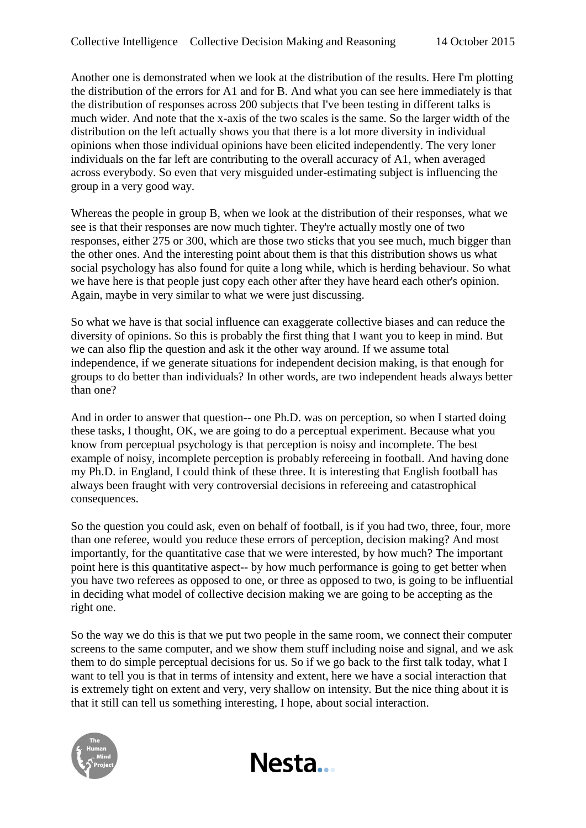Another one is demonstrated when we look at the distribution of the results. Here I'm plotting the distribution of the errors for A1 and for B. And what you can see here immediately is that the distribution of responses across 200 subjects that I've been testing in different talks is much wider. And note that the x-axis of the two scales is the same. So the larger width of the distribution on the left actually shows you that there is a lot more diversity in individual opinions when those individual opinions have been elicited independently. The very loner individuals on the far left are contributing to the overall accuracy of A1, when averaged across everybody. So even that very misguided under-estimating subject is influencing the group in a very good way.

Whereas the people in group B, when we look at the distribution of their responses, what we see is that their responses are now much tighter. They're actually mostly one of two responses, either 275 or 300, which are those two sticks that you see much, much bigger than the other ones. And the interesting point about them is that this distribution shows us what social psychology has also found for quite a long while, which is herding behaviour. So what we have here is that people just copy each other after they have heard each other's opinion. Again, maybe in very similar to what we were just discussing.

So what we have is that social influence can exaggerate collective biases and can reduce the diversity of opinions. So this is probably the first thing that I want you to keep in mind. But we can also flip the question and ask it the other way around. If we assume total independence, if we generate situations for independent decision making, is that enough for groups to do better than individuals? In other words, are two independent heads always better than one?

And in order to answer that question-- one Ph.D. was on perception, so when I started doing these tasks, I thought, OK, we are going to do a perceptual experiment. Because what you know from perceptual psychology is that perception is noisy and incomplete. The best example of noisy, incomplete perception is probably refereeing in football. And having done my Ph.D. in England, I could think of these three. It is interesting that English football has always been fraught with very controversial decisions in refereeing and catastrophical consequences.

So the question you could ask, even on behalf of football, is if you had two, three, four, more than one referee, would you reduce these errors of perception, decision making? And most importantly, for the quantitative case that we were interested, by how much? The important point here is this quantitative aspect-- by how much performance is going to get better when you have two referees as opposed to one, or three as opposed to two, is going to be influential in deciding what model of collective decision making we are going to be accepting as the right one.

So the way we do this is that we put two people in the same room, we connect their computer screens to the same computer, and we show them stuff including noise and signal, and we ask them to do simple perceptual decisions for us. So if we go back to the first talk today, what I want to tell you is that in terms of intensity and extent, here we have a social interaction that is extremely tight on extent and very, very shallow on intensity. But the nice thing about it is that it still can tell us something interesting, I hope, about social interaction.

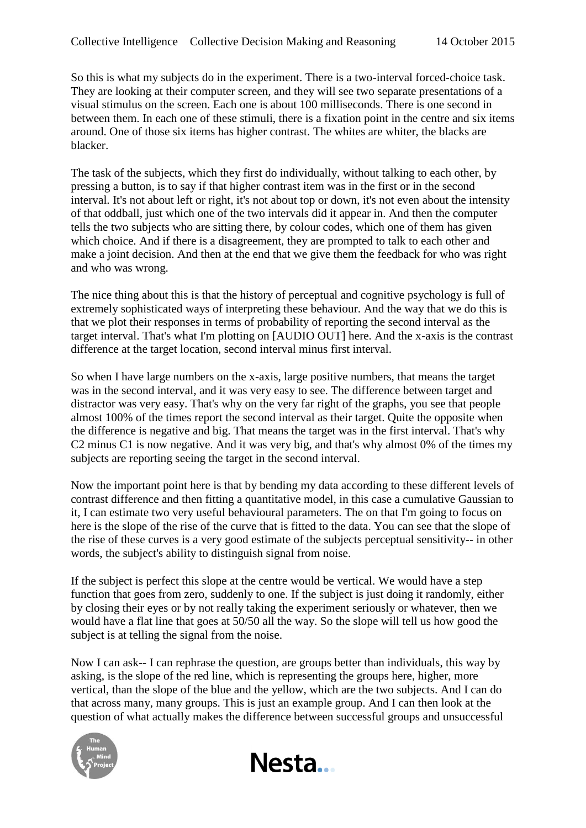So this is what my subjects do in the experiment. There is a two-interval forced-choice task. They are looking at their computer screen, and they will see two separate presentations of a visual stimulus on the screen. Each one is about 100 milliseconds. There is one second in between them. In each one of these stimuli, there is a fixation point in the centre and six items around. One of those six items has higher contrast. The whites are whiter, the blacks are blacker.

The task of the subjects, which they first do individually, without talking to each other, by pressing a button, is to say if that higher contrast item was in the first or in the second interval. It's not about left or right, it's not about top or down, it's not even about the intensity of that oddball, just which one of the two intervals did it appear in. And then the computer tells the two subjects who are sitting there, by colour codes, which one of them has given which choice. And if there is a disagreement, they are prompted to talk to each other and make a joint decision. And then at the end that we give them the feedback for who was right and who was wrong.

The nice thing about this is that the history of perceptual and cognitive psychology is full of extremely sophisticated ways of interpreting these behaviour. And the way that we do this is that we plot their responses in terms of probability of reporting the second interval as the target interval. That's what I'm plotting on [AUDIO OUT] here. And the x-axis is the contrast difference at the target location, second interval minus first interval.

So when I have large numbers on the x-axis, large positive numbers, that means the target was in the second interval, and it was very easy to see. The difference between target and distractor was very easy. That's why on the very far right of the graphs, you see that people almost 100% of the times report the second interval as their target. Quite the opposite when the difference is negative and big. That means the target was in the first interval. That's why C2 minus C1 is now negative. And it was very big, and that's why almost 0% of the times my subjects are reporting seeing the target in the second interval.

Now the important point here is that by bending my data according to these different levels of contrast difference and then fitting a quantitative model, in this case a cumulative Gaussian to it, I can estimate two very useful behavioural parameters. The on that I'm going to focus on here is the slope of the rise of the curve that is fitted to the data. You can see that the slope of the rise of these curves is a very good estimate of the subjects perceptual sensitivity-- in other words, the subject's ability to distinguish signal from noise.

If the subject is perfect this slope at the centre would be vertical. We would have a step function that goes from zero, suddenly to one. If the subject is just doing it randomly, either by closing their eyes or by not really taking the experiment seriously or whatever, then we would have a flat line that goes at 50/50 all the way. So the slope will tell us how good the subject is at telling the signal from the noise.

Now I can ask-- I can rephrase the question, are groups better than individuals, this way by asking, is the slope of the red line, which is representing the groups here, higher, more vertical, than the slope of the blue and the yellow, which are the two subjects. And I can do that across many, many groups. This is just an example group. And I can then look at the question of what actually makes the difference between successful groups and unsuccessful



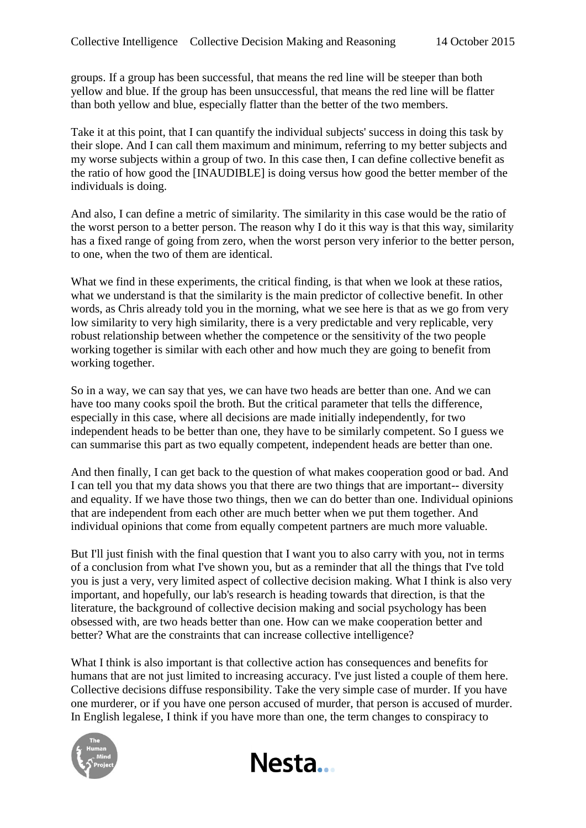groups. If a group has been successful, that means the red line will be steeper than both yellow and blue. If the group has been unsuccessful, that means the red line will be flatter than both yellow and blue, especially flatter than the better of the two members.

Take it at this point, that I can quantify the individual subjects' success in doing this task by their slope. And I can call them maximum and minimum, referring to my better subjects and my worse subjects within a group of two. In this case then, I can define collective benefit as the ratio of how good the [INAUDIBLE] is doing versus how good the better member of the individuals is doing.

And also, I can define a metric of similarity. The similarity in this case would be the ratio of the worst person to a better person. The reason why I do it this way is that this way, similarity has a fixed range of going from zero, when the worst person very inferior to the better person, to one, when the two of them are identical.

What we find in these experiments, the critical finding, is that when we look at these ratios, what we understand is that the similarity is the main predictor of collective benefit. In other words, as Chris already told you in the morning, what we see here is that as we go from very low similarity to very high similarity, there is a very predictable and very replicable, very robust relationship between whether the competence or the sensitivity of the two people working together is similar with each other and how much they are going to benefit from working together.

So in a way, we can say that yes, we can have two heads are better than one. And we can have too many cooks spoil the broth. But the critical parameter that tells the difference, especially in this case, where all decisions are made initially independently, for two independent heads to be better than one, they have to be similarly competent. So I guess we can summarise this part as two equally competent, independent heads are better than one.

And then finally, I can get back to the question of what makes cooperation good or bad. And I can tell you that my data shows you that there are two things that are important-- diversity and equality. If we have those two things, then we can do better than one. Individual opinions that are independent from each other are much better when we put them together. And individual opinions that come from equally competent partners are much more valuable.

But I'll just finish with the final question that I want you to also carry with you, not in terms of a conclusion from what I've shown you, but as a reminder that all the things that I've told you is just a very, very limited aspect of collective decision making. What I think is also very important, and hopefully, our lab's research is heading towards that direction, is that the literature, the background of collective decision making and social psychology has been obsessed with, are two heads better than one. How can we make cooperation better and better? What are the constraints that can increase collective intelligence?

What I think is also important is that collective action has consequences and benefits for humans that are not just limited to increasing accuracy. I've just listed a couple of them here. Collective decisions diffuse responsibility. Take the very simple case of murder. If you have one murderer, or if you have one person accused of murder, that person is accused of murder. In English legalese, I think if you have more than one, the term changes to conspiracy to



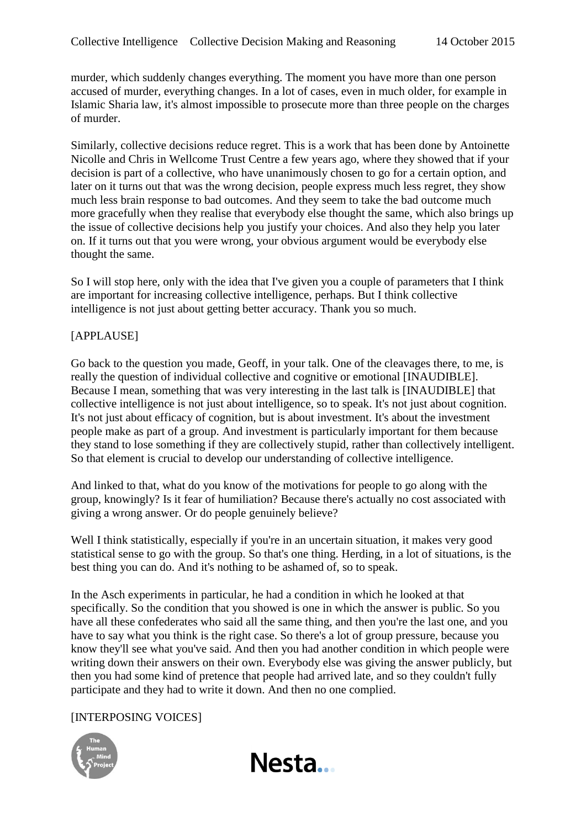murder, which suddenly changes everything. The moment you have more than one person accused of murder, everything changes. In a lot of cases, even in much older, for example in Islamic Sharia law, it's almost impossible to prosecute more than three people on the charges of murder.

Similarly, collective decisions reduce regret. This is a work that has been done by Antoinette Nicolle and Chris in Wellcome Trust Centre a few years ago, where they showed that if your decision is part of a collective, who have unanimously chosen to go for a certain option, and later on it turns out that was the wrong decision, people express much less regret, they show much less brain response to bad outcomes. And they seem to take the bad outcome much more gracefully when they realise that everybody else thought the same, which also brings up the issue of collective decisions help you justify your choices. And also they help you later on. If it turns out that you were wrong, your obvious argument would be everybody else thought the same.

So I will stop here, only with the idea that I've given you a couple of parameters that I think are important for increasing collective intelligence, perhaps. But I think collective intelligence is not just about getting better accuracy. Thank you so much.

## [APPLAUSE]

Go back to the question you made, Geoff, in your talk. One of the cleavages there, to me, is really the question of individual collective and cognitive or emotional [INAUDIBLE]. Because I mean, something that was very interesting in the last talk is [INAUDIBLE] that collective intelligence is not just about intelligence, so to speak. It's not just about cognition. It's not just about efficacy of cognition, but is about investment. It's about the investment people make as part of a group. And investment is particularly important for them because they stand to lose something if they are collectively stupid, rather than collectively intelligent. So that element is crucial to develop our understanding of collective intelligence.

And linked to that, what do you know of the motivations for people to go along with the group, knowingly? Is it fear of humiliation? Because there's actually no cost associated with giving a wrong answer. Or do people genuinely believe?

Well I think statistically, especially if you're in an uncertain situation, it makes very good statistical sense to go with the group. So that's one thing. Herding, in a lot of situations, is the best thing you can do. And it's nothing to be ashamed of, so to speak.

In the Asch experiments in particular, he had a condition in which he looked at that specifically. So the condition that you showed is one in which the answer is public. So you have all these confederates who said all the same thing, and then you're the last one, and you have to say what you think is the right case. So there's a lot of group pressure, because you know they'll see what you've said. And then you had another condition in which people were writing down their answers on their own. Everybody else was giving the answer publicly, but then you had some kind of pretence that people had arrived late, and so they couldn't fully participate and they had to write it down. And then no one complied.

## [INTERPOSING VOICES]



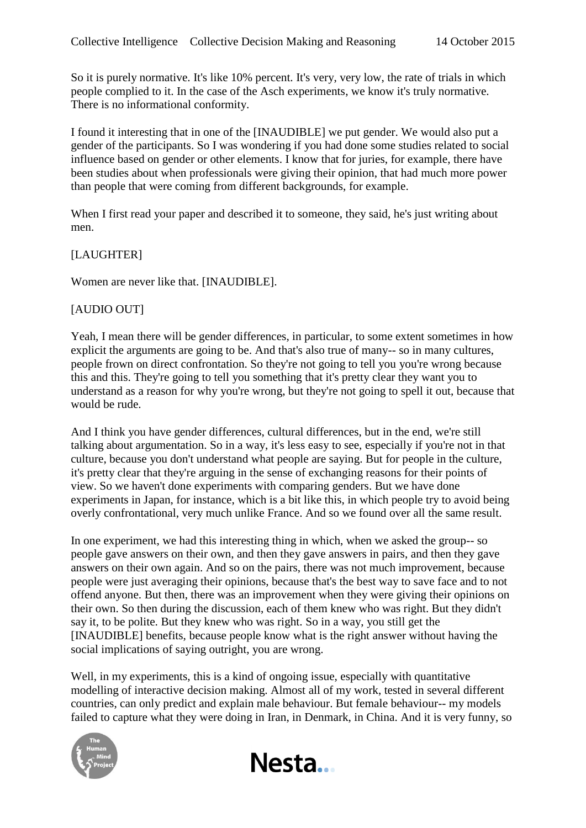So it is purely normative. It's like 10% percent. It's very, very low, the rate of trials in which people complied to it. In the case of the Asch experiments, we know it's truly normative. There is no informational conformity.

I found it interesting that in one of the [INAUDIBLE] we put gender. We would also put a gender of the participants. So I was wondering if you had done some studies related to social influence based on gender or other elements. I know that for juries, for example, there have been studies about when professionals were giving their opinion, that had much more power than people that were coming from different backgrounds, for example.

When I first read your paper and described it to someone, they said, he's just writing about men.

## [LAUGHTER]

Women are never like that. [INAUDIBLE].

#### [AUDIO OUT]

Yeah, I mean there will be gender differences, in particular, to some extent sometimes in how explicit the arguments are going to be. And that's also true of many-- so in many cultures, people frown on direct confrontation. So they're not going to tell you you're wrong because this and this. They're going to tell you something that it's pretty clear they want you to understand as a reason for why you're wrong, but they're not going to spell it out, because that would be rude.

And I think you have gender differences, cultural differences, but in the end, we're still talking about argumentation. So in a way, it's less easy to see, especially if you're not in that culture, because you don't understand what people are saying. But for people in the culture, it's pretty clear that they're arguing in the sense of exchanging reasons for their points of view. So we haven't done experiments with comparing genders. But we have done experiments in Japan, for instance, which is a bit like this, in which people try to avoid being overly confrontational, very much unlike France. And so we found over all the same result.

In one experiment, we had this interesting thing in which, when we asked the group-- so people gave answers on their own, and then they gave answers in pairs, and then they gave answers on their own again. And so on the pairs, there was not much improvement, because people were just averaging their opinions, because that's the best way to save face and to not offend anyone. But then, there was an improvement when they were giving their opinions on their own. So then during the discussion, each of them knew who was right. But they didn't say it, to be polite. But they knew who was right. So in a way, you still get the [INAUDIBLE] benefits, because people know what is the right answer without having the social implications of saying outright, you are wrong.

Well, in my experiments, this is a kind of ongoing issue, especially with quantitative modelling of interactive decision making. Almost all of my work, tested in several different countries, can only predict and explain male behaviour. But female behaviour-- my models failed to capture what they were doing in Iran, in Denmark, in China. And it is very funny, so



Nesta...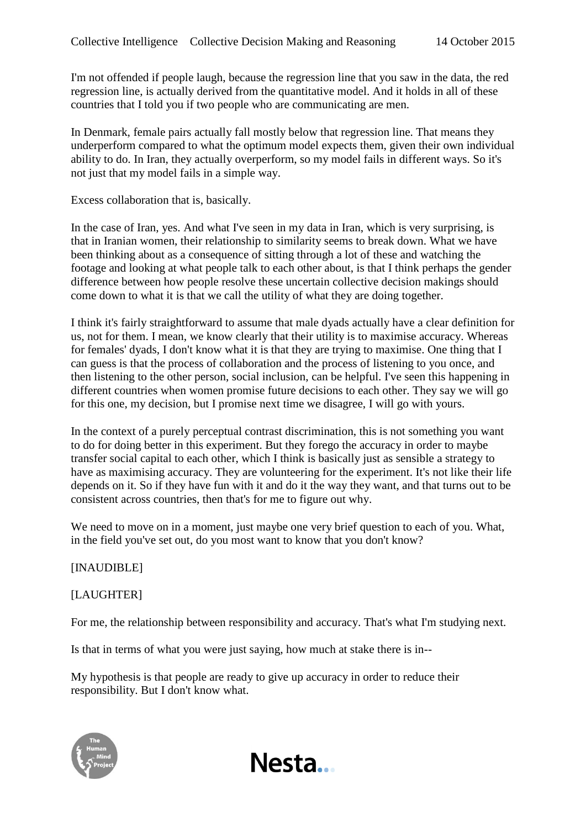I'm not offended if people laugh, because the regression line that you saw in the data, the red regression line, is actually derived from the quantitative model. And it holds in all of these countries that I told you if two people who are communicating are men.

In Denmark, female pairs actually fall mostly below that regression line. That means they underperform compared to what the optimum model expects them, given their own individual ability to do. In Iran, they actually overperform, so my model fails in different ways. So it's not just that my model fails in a simple way.

Excess collaboration that is, basically.

In the case of Iran, yes. And what I've seen in my data in Iran, which is very surprising, is that in Iranian women, their relationship to similarity seems to break down. What we have been thinking about as a consequence of sitting through a lot of these and watching the footage and looking at what people talk to each other about, is that I think perhaps the gender difference between how people resolve these uncertain collective decision makings should come down to what it is that we call the utility of what they are doing together.

I think it's fairly straightforward to assume that male dyads actually have a clear definition for us, not for them. I mean, we know clearly that their utility is to maximise accuracy. Whereas for females' dyads, I don't know what it is that they are trying to maximise. One thing that I can guess is that the process of collaboration and the process of listening to you once, and then listening to the other person, social inclusion, can be helpful. I've seen this happening in different countries when women promise future decisions to each other. They say we will go for this one, my decision, but I promise next time we disagree, I will go with yours.

In the context of a purely perceptual contrast discrimination, this is not something you want to do for doing better in this experiment. But they forego the accuracy in order to maybe transfer social capital to each other, which I think is basically just as sensible a strategy to have as maximising accuracy. They are volunteering for the experiment. It's not like their life depends on it. So if they have fun with it and do it the way they want, and that turns out to be consistent across countries, then that's for me to figure out why.

We need to move on in a moment, just maybe one very brief question to each of you. What, in the field you've set out, do you most want to know that you don't know?

## [INAUDIBLE]

## [LAUGHTER]

For me, the relationship between responsibility and accuracy. That's what I'm studying next.

Is that in terms of what you were just saying, how much at stake there is in--

My hypothesis is that people are ready to give up accuracy in order to reduce their responsibility. But I don't know what.